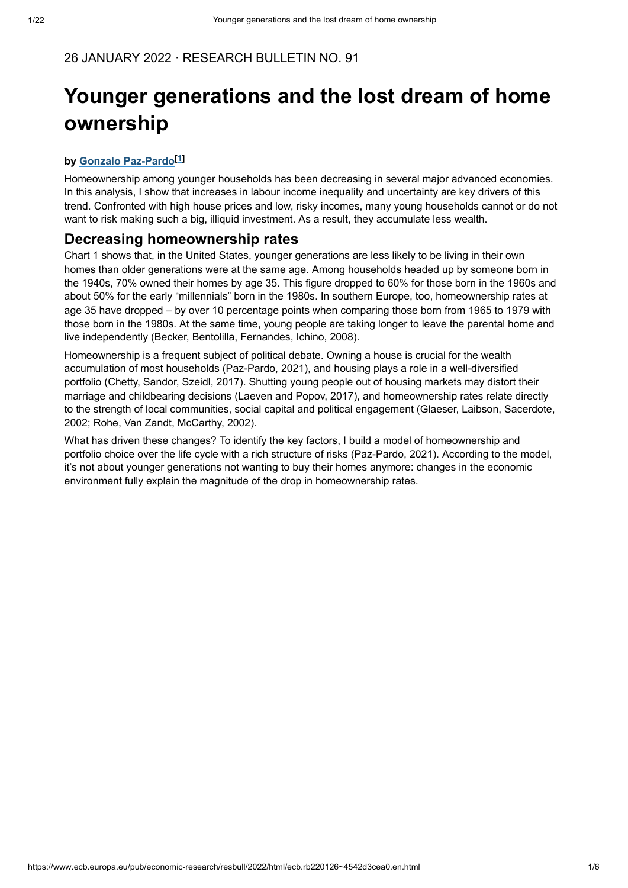# **Younger generations and the lost dream of home ownership**

#### **by [ ] [Gonzalo Paz-Pardo](https://www.ecb.europa.eu/pub/research/authors/profiles/gonzalo-paz-pardo.en.html) <sup>1</sup>**

Homeownership among younger households has been decreasing in several major advanced economies. In this analysis, I show that increases in labour income inequality and uncertainty are key drivers of this trend. Confronted with high house prices and low, risky incomes, many young households cannot or do not want to risk making such a big, illiquid investment. As a result, they accumulate less wealth.

#### **Decreasing homeownership rates**

Chart 1 shows that, in the United States, younger generations are less likely to be living in their own homes than older generations were at the same age. Among households headed up by someone born in the 1940s, 70% owned their homes by age 35. This figure dropped to 60% for those born in the 1960s and about 50% for the early "millennials" born in the 1980s. In southern Europe, too, homeownership rates at age 35 have dropped – by over 10 percentage points when comparing those born from 1965 to 1979 with those born in the 1980s. At the same time, young people are taking longer to leave the parental home and live independently (Becker, Bentolilla, Fernandes, Ichino, 2008).

Homeownership is a frequent subject of political debate. Owning a house is crucial for the wealth accumulation of most households (Paz-Pardo, 2021), and housing plays a role in a well-diversified portfolio (Chetty, Sandor, Szeidl, 2017). Shutting young people out of housing markets may distort their marriage and childbearing decisions (Laeven and Popov, 2017), and homeownership rates relate directly to the strength of local communities, social capital and political engagement (Glaeser, Laibson, Sacerdote, 2002; Rohe, Van Zandt, McCarthy, 2002).

What has driven these changes? To identify the key factors, I build a model of homeownership and portfolio choice over the life cycle with a rich structure of risks (Paz-Pardo, 2021). According to the model, it's not about younger generations not wanting to buy their homes anymore: changes in the economic environment fully explain the magnitude of the drop in homeownership rates.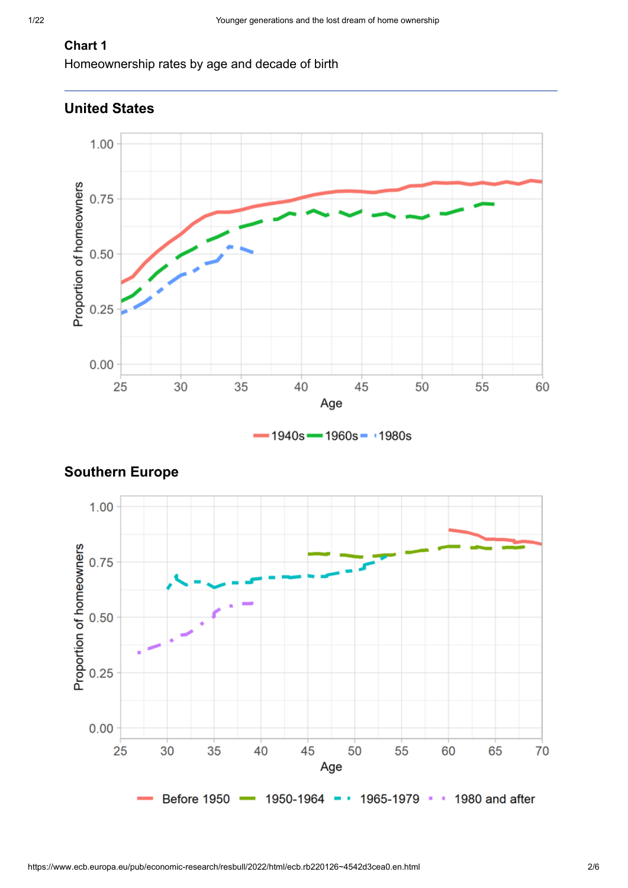# **Chart 1**

Homeownership rates by age and decade of birth



# **United States**





# **Southern Europe**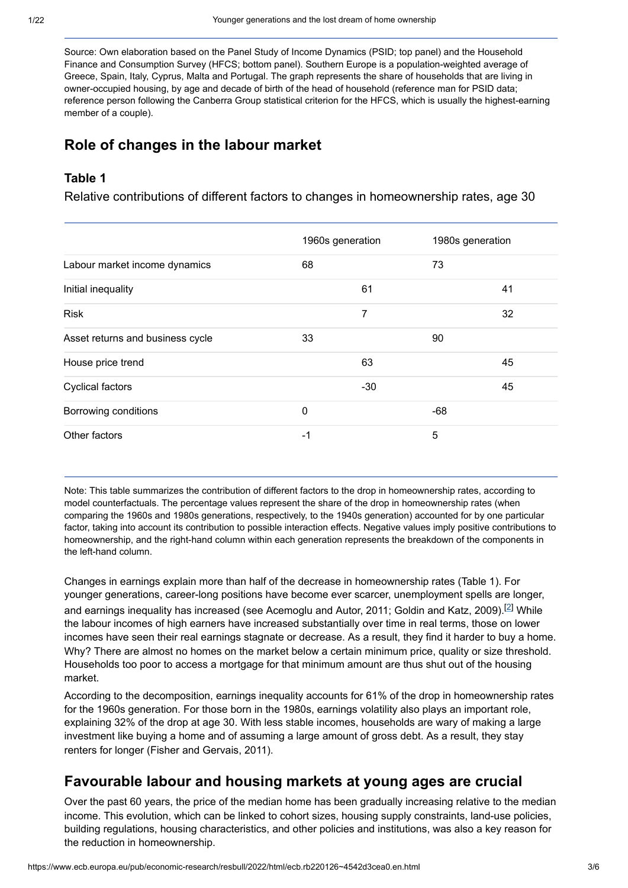Source: Own elaboration based on the Panel Study of Income Dynamics (PSID; top panel) and the Household Finance and Consumption Survey (HFCS; bottom panel). Southern Europe is a population-weighted average of Greece, Spain, Italy, Cyprus, Malta and Portugal. The graph represents the share of households that are living in owner-occupied housing, by age and decade of birth of the head of household (reference man for PSID data; reference person following the Canberra Group statistical criterion for the HFCS, which is usually the highest-earning member of a couple).

# **Role of changes in the labour market**

#### **Table 1**

Relative contributions of different factors to changes in homeownership rates, age 30

|                                  | 1960s generation |       | 1980s generation |    |
|----------------------------------|------------------|-------|------------------|----|
| Labour market income dynamics    | 68               |       | 73               |    |
| Initial inequality               |                  | 61    |                  | 41 |
| <b>Risk</b>                      |                  | 7     |                  | 32 |
| Asset returns and business cycle | 33               |       | 90               |    |
| House price trend                |                  | 63    |                  | 45 |
| <b>Cyclical factors</b>          |                  | $-30$ |                  | 45 |
| Borrowing conditions             | 0                |       | $-68$            |    |
| Other factors                    | $-1$             |       | 5                |    |

Note: This table summarizes the contribution of different factors to the drop in homeownership rates, according to model counterfactuals. The percentage values represent the share of the drop in homeownership rates (when comparing the 1960s and 1980s generations, respectively, to the 1940s generation) accounted for by one particular factor, taking into account its contribution to possible interaction effects. Negative values imply positive contributions to homeownership, and the right-hand column within each generation represents the breakdown of the components in the left-hand column.

Changes in earnings explain more than half of the decrease in homeownership rates (Table 1). For younger generations, career-long positions have become ever scarcer, unemployment spells are longer, and earnings inequality has increased (see Acemoglu and Autor, 2011; Goldin and Katz, 2009). $^{[2]}$  While the labour incomes of high earners have increased substantially over time in real terms, those on lower incomes have seen their real earnings stagnate or decrease. As a result, they find it harder to buy a home. Why? There are almost no homes on the market below a certain minimum price, quality or size threshold. Households too poor to access a mortgage for that minimum amount are thus shut out of the housing market.

According to the decomposition, earnings inequality accounts for 61% of the drop in homeownership rates for the 1960s generation. For those born in the 1980s, earnings volatility also plays an important role, explaining 32% of the drop at age 30. With less stable incomes, households are wary of making a large investment like buying a home and of assuming a large amount of gross debt. As a result, they stay renters for longer (Fisher and Gervais, 2011).

# **Favourable labour and housing markets at young ages are crucial**

Over the past 60 years, the price of the median home has been gradually increasing relative to the median income. This evolution, which can be linked to cohort sizes, housing supply constraints, land-use policies, building regulations, housing characteristics, and other policies and institutions, was also a key reason for the reduction in homeownership.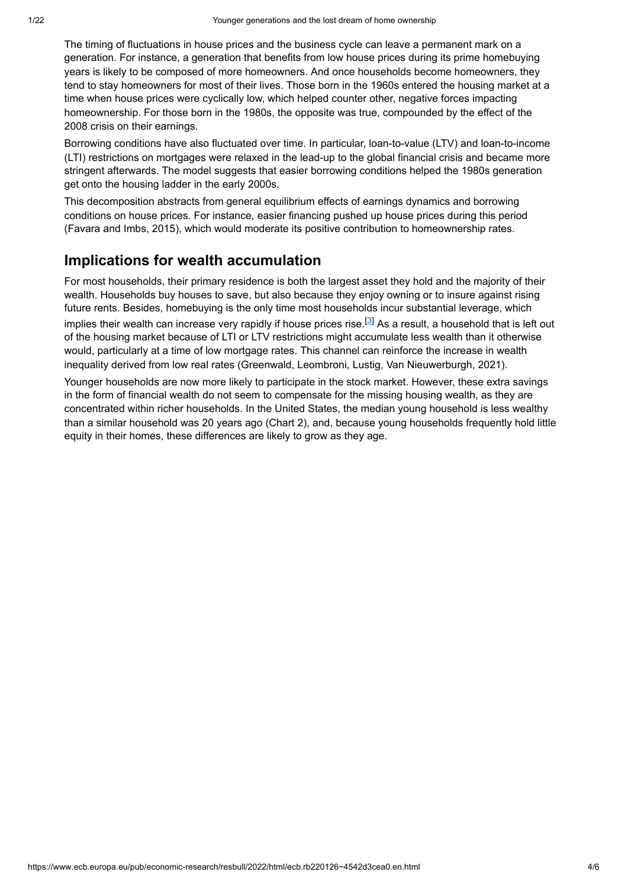The timing of fluctuations in house prices and the business cycle can leave a permanent mark on a generation. For instance, a generation that benefits from low house prices during its prime homebuying years is likely to be composed of more homeowners. And once households become homeowners, they tend to stay homeowners for most of their lives. Those born in the 1960s entered the housing market at a time when house prices were cyclically low, which helped counter other, negative forces impacting homeownership. For those born in the 1980s, the opposite was true, compounded by the effect of the 2008 crisis on their earnings.

Borrowing conditions have also fluctuated over time. In particular, loan-to-value (LTV) and loan-to-income (LTI) restrictions on mortgages were relaxed in the lead-up to the global financial crisis and became more stringent afterwards. The model suggests that easier borrowing conditions helped the 1980s generation get onto the housing ladder in the early 2000s.

This decomposition abstracts from general equilibrium effects of earnings dynamics and borrowing conditions on house prices. For instance, easier financing pushed up house prices during this period (Favara and Imbs, 2015), which would moderate its positive contribution to homeownership rates.

# **Implications for wealth accumulation**

For most households, their primary residence is both the largest asset they hold and the majority of their wealth. Households buy houses to save, but also because they enjoy owning or to insure against rising future rents. Besides, homebuying is the only time most households incur substantial leverage, which implies their wealth can increase very rapidly if house prices rise. $^{[3]}$  As a result, a household that is left out of the housing market because of LTI or LTV restrictions might accumulate less wealth than it otherwise would, particularly at a time of low mortgage rates. This channel can reinforce the increase in wealth inequality derived from low real rates (Greenwald, Leombroni, Lustig, Van Nieuwerburgh, 2021).

Younger households are now more likely to participate in the stock market. However, these extra savings in the form of financial wealth do not seem to compensate for the missing housing wealth, as they are concentrated within richer households. In the United States, the median young household is less wealthy than a similar household was 20 years ago (Chart 2), and, because young households frequently hold little equity in their homes, these differences are likely to grow as they age.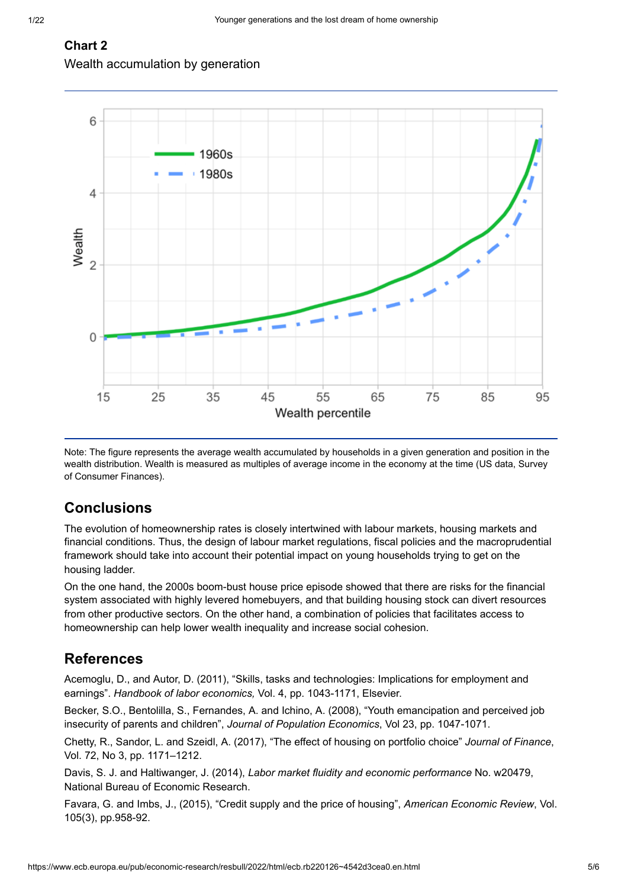#### **Chart 2**

Wealth accumulation by generation



Note: The figure represents the average wealth accumulated by households in a given generation and position in the wealth distribution. Wealth is measured as multiples of average income in the economy at the time (US data, Survey of Consumer Finances).

# **Conclusions**

The evolution of homeownership rates is closely intertwined with labour markets, housing markets and financial conditions. Thus, the design of labour market regulations, fiscal policies and the macroprudential framework should take into account their potential impact on young households trying to get on the housing ladder.

On the one hand, the 2000s boom-bust house price episode showed that there are risks for the financial system associated with highly levered homebuyers, and that building housing stock can divert resources from other productive sectors. On the other hand, a combination of policies that facilitates access to homeownership can help lower wealth inequality and increase social cohesion.

# **References**

Acemoglu, D., and Autor, D. (2011), "Skills, tasks and technologies: Implications for employment and earnings". *Handbook of labor economics,* Vol. 4, pp. 1043-1171, Elsevier.

Becker, S.O., Bentolilla, S., Fernandes, A. and Ichino, A. (2008), "Youth emancipation and perceived job insecurity of parents and children", *Journal of Population Economics*, Vol 23, pp. 1047-1071.

Chetty, R., Sandor, L. and Szeidl, A. (2017), "The effect of housing on portfolio choice" *Journal of Finance*, Vol. 72, No 3, pp. 1171–1212.

Davis, S. J. and Haltiwanger, J. (2014), *Labor market fluidity and economic performance* No. w20479, National Bureau of Economic Research.

Favara, G. and Imbs, J., (2015), "Credit supply and the price of housing", *American Economic Review*, Vol. 105(3), pp.958-92.